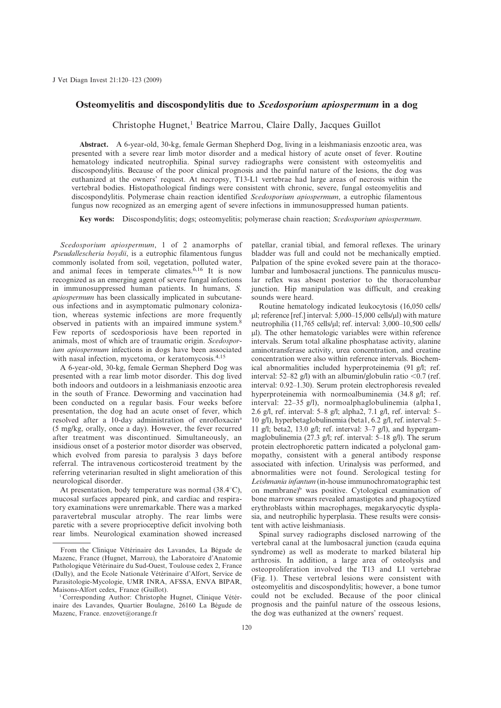## Osteomyelitis and discospondylitis due to Scedosporium apiospermum in a dog

Christophe Hugnet,<sup>1</sup> Beatrice Marrou, Claire Dally, Jacques Guillot

Abstract. A 6-year-old, 30-kg, female German Shepherd Dog, living in a leishmaniasis enzootic area, was presented with a severe rear limb motor disorder and a medical history of acute onset of fever. Routine hematology indicated neutrophilia. Spinal survey radiographs were consistent with osteomyelitis and discospondylitis. Because of the poor clinical prognosis and the painful nature of the lesions, the dog was euthanized at the owners' request. At necropsy, T13-L1 vertebrae had large areas of necrosis within the vertebral bodies. Histopathological findings were consistent with chronic, severe, fungal osteomyelitis and discospondylitis. Polymerase chain reaction identified Scedosporium apiospermum, a eutrophic filamentous fungus now recognized as an emerging agent of severe infections in immunosuppressed human patients.

Key words: Discospondylitis; dogs; osteomyelitis; polymerase chain reaction; Scedosporium apiospermum.

Scedosporium apiospermum, 1 of 2 anamorphs of Pseudallescheria boydii, is a eutrophic filamentous fungus commonly isolated from soil, vegetation, polluted water, and animal feces in temperate climates.<sup>6,16</sup> It is now recognized as an emerging agent of severe fungal infections in immunosuppressed human patients. In humans, S. apiospermum has been classically implicated in subcutaneous infections and in asymptomatic pulmonary colonization, whereas systemic infections are more frequently observed in patients with an impaired immune system.<sup>8</sup> Few reports of scedosporiosis have been reported in animals, most of which are of traumatic origin. Scedosporium apiospermum infections in dogs have been associated with nasal infection, mycetoma, or keratomycosis.<sup>4,15</sup>

A 6-year-old, 30-kg, female German Shepherd Dog was presented with a rear limb motor disorder. This dog lived both indoors and outdoors in a leishmaniasis enzootic area in the south of France. Deworming and vaccination had been conducted on a regular basis. Four weeks before presentation, the dog had an acute onset of fever, which resolved after a 10-day administration of enrofloxacina (5 mg/kg, orally, once a day). However, the fever recurred after treatment was discontinued. Simultaneously, an insidious onset of a posterior motor disorder was observed, which evolved from paresia to paralysis 3 days before referral. The intravenous corticosteroid treatment by the referring veterinarian resulted in slight amelioration of this neurological disorder.

At presentation, body temperature was normal  $(38.4^{\circ}C)$ , mucosal surfaces appeared pink, and cardiac and respiratory examinations were unremarkable. There was a marked paravertebral muscular atrophy. The rear limbs were paretic with a severe proprioceptive deficit involving both rear limbs. Neurological examination showed increased patellar, cranial tibial, and femoral reflexes. The urinary bladder was full and could not be mechanically emptied. Palpation of the spine evoked severe pain at the thoracolumbar and lumbosacral junctions. The panniculus muscular reflex was absent posterior to the thoracolumbar junction. Hip manipulation was difficult, and creaking sounds were heard.

Routine hematology indicated leukocytosis (16,050 cells/  $\mu$ l; reference [ref.] interval: 5,000–15,000 cells/ $\mu$ l) with mature neutrophilia (11,765 cells/µl; ref. interval: 3,000–10,500 cells/ ul). The other hematologic variables were within reference intervals. Serum total alkaline phosphatase activity, alanine aminotransferase activity, urea concentration, and creatine concentration were also within reference intervals. Biochemical abnormalities included hyperproteinemia (91 g/l; ref. interval: 52–82 g/l) with an albumin/globulin ratio <0.7 (ref. interval: 0.92–1.30). Serum protein electrophoresis revealed hyperproteinemia with normoalbuminemia (34.8 g/l; ref. interval: 22–35 g/l), normoalphaglobulinemia (alpha1, 2.6 g/l, ref. interval: 5–8 g/l; alpha2, 7.1 g/l, ref. interval: 5– 10 g/l), hyperbetaglobulinemia (beta1, 6.2 g/l, ref. interval: 5– 11 g/l; beta2, 13.0 g/l; ref. interval:  $3-7$  g/l), and hypergammaglobulinemia (27.3 g/l; ref. interval: 5–18 g/l). The serum protein electrophoretic pattern indicated a polyclonal gammopathy, consistent with a general antibody response associated with infection. Urinalysis was performed, and abnormalities were not found. Serological testing for Leishmania infantum (in-house immunochromatographic test on membrane)<sup>b</sup> was positive. Cytological examination of bone marrow smears revealed amastigotes and phagocytized erythroblasts within macrophages, megakaryocytic dysplasia, and neutrophilic hyperplasia. These results were consistent with active leishmaniasis.

Spinal survey radiographs disclosed narrowing of the vertebral canal at the lumbosacral junction (cauda equina syndrome) as well as moderate to marked bilateral hip arthrosis. In addition, a large area of osteolysis and osteoproliferation involved the T13 and L1 vertebrae (Fig. 1). These vertebral lesions were consistent with osteomyelitis and discospondylitis; however, a bone tumor could not be excluded. Because of the poor clinical prognosis and the painful nature of the osseous lesions, the dog was euthanized at the owners' request.

From the Clinique Vétérinaire des Lavandes, La Bégude de Mazenc, France (Hugnet, Marrou), the Laboratoire d'Anatomie Pathologique Vétérinaire du Sud-Ouest, Toulouse cedex 2, France (Dally), and the Ecole Nationale Vétérinaire d'Alfort, Service de Parasitologie-Mycologie, UMR INRA, AFSSA, ENVA BIPAR, Maisons-Alfort cedex, France (Guillot).

 $1$  Corresponding Author: Christophe Hugnet, Clinique Vétérinaire des Lavandes, Quartier Boulagne, 26160 La Bégude de Mazenc, France. enzovet@orange.fr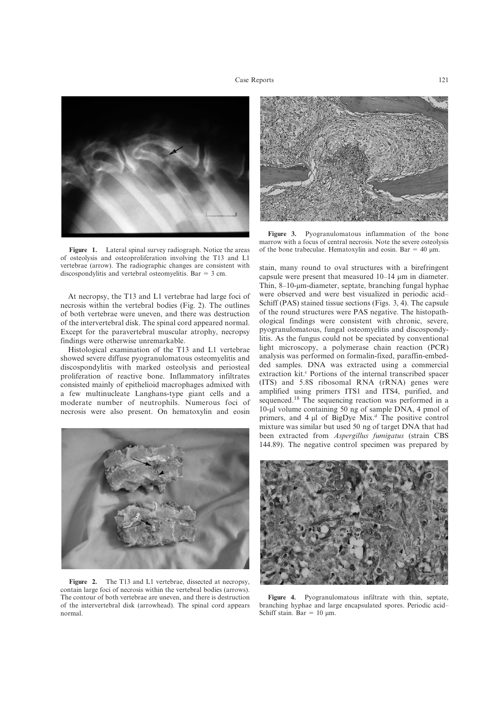

Figure 1. Lateral spinal survey radiograph. Notice the areas of osteolysis and osteoproliferation involving the T13 and L1 vertebrae (arrow). The radiographic changes are consistent with discospondylitis and vertebral osteomyelitis. Bar  $=$  3 cm.

At necropsy, the T13 and L1 vertebrae had large foci of necrosis within the vertebral bodies (Fig. 2). The outlines of both vertebrae were uneven, and there was destruction of the intervertebral disk. The spinal cord appeared normal. Except for the paravertebral muscular atrophy, necropsy findings were otherwise unremarkable.

Histological examination of the T13 and L1 vertebrae showed severe diffuse pyogranulomatous osteomyelitis and discospondylitis with marked osteolysis and periosteal proliferation of reactive bone. Inflammatory infiltrates consisted mainly of epithelioid macrophages admixed with a few multinucleate Langhans-type giant cells and a moderate number of neutrophils. Numerous foci of necrosis were also present. On hematoxylin and eosin



Figure 2. The T13 and L1 vertebrae, dissected at necropsy, contain large foci of necrosis within the vertebral bodies (arrows). The contour of both vertebrae are uneven, and there is destruction of the intervertebral disk (arrowhead). The spinal cord appears normal.



Figure 3. Pyogranulomatous inflammation of the bone marrow with a focus of central necrosis. Note the severe osteolysis of the bone trabeculae. Hematoxylin and eosin. Bar = 40  $\mu$ m.

stain, many round to oval structures with a birefringent capsule were present that measured 10–14 mm in diameter. Thin, 8–10-um-diameter, septate, branching fungal hyphae were observed and were best visualized in periodic acid– Schiff (PAS) stained tissue sections (Figs. 3, 4). The capsule of the round structures were PAS negative. The histopathological findings were consistent with chronic, severe, pyogranulomatous, fungal osteomyelitis and discospondylitis. As the fungus could not be speciated by conventional light microscopy, a polymerase chain reaction (PCR) analysis was performed on formalin-fixed, paraffin-embedded samples. DNA was extracted using a commercial extraction kit.<sup>c</sup> Portions of the internal transcribed spacer (ITS) and 5.8S ribosomal RNA (rRNA) genes were amplified using primers ITS1 and ITS4, purified, and sequenced.<sup>18</sup> The sequencing reaction was performed in a 10-ml volume containing 50 ng of sample DNA, 4 pmol of primers, and  $4 \mu l$  of BigDye Mix.<sup>d</sup> The positive control mixture was similar but used 50 ng of target DNA that had been extracted from Aspergillus fumigatus (strain CBS 144.89). The negative control specimen was prepared by



Figure 4. Pyogranulomatous infiltrate with thin, septate, branching hyphae and large encapsulated spores. Periodic acid– Schiff stain.  $Bar = 10$  um.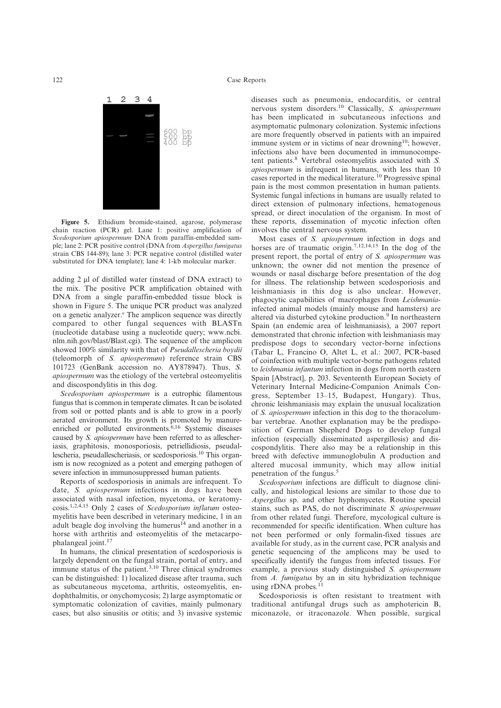# 122 Case Reports



Figure 5. Ethidium bromide-stained, agarose, polymerase chain reaction (PCR) gel. Lane 1: positive amplification of Scedosporium apiospermum DNA from paraffin-embedded sample; lane 2: PCR positive control (DNA from Aspergillus fumigatus strain CBS 144-89); lane 3: PCR negative control (distilled water substituted for DNA template); lane 4: 1-kb molecular marker.

adding  $2 \mu$ l of distilled water (instead of DNA extract) to the mix. The positive PCR amplification obtained with DNA from a single paraffin-embedded tissue block is shown in Figure 5. The unique PCR product was analyzed on a genetic analyzer.<sup>e</sup> The amplicon sequence was directly compared to other fungal sequences with BLASTn (nucleotide database using a nucleotide query; www.ncbi. nlm.nih.gov/blast/Blast.cgi). The sequence of the amplicon showed 100% similarity with that of Pseudallescheria boydii (teleomorph of S. apiospermum) reference strain CBS 101723 (GenBank accession no. AY878947). Thus, S. apiospermum was the etiology of the vertebral osteomyelitis and discospondylitis in this dog.

Scedosporium apiospermum is a eutrophic filamentous fungus that is common in temperate climates. It can be isolated from soil or potted plants and is able to grow in a poorly aerated environment. Its growth is promoted by manureenriched or polluted environments.<sup>6,16</sup> Systemic diseases caused by S. apiospermum have been referred to as allescheriasis, graphitosis, monosporiosis, petriellidiosis, pseudallescheria, pseudallescheriasis, or scedosporiosis.10 This organism is now recognized as a potent and emerging pathogen of severe infection in immunosuppressed human patients.

Reports of scedosporiosis in animals are infrequent. To date, S. apiospermum infections in dogs have been associated with nasal infection, mycetoma, or keratomycosis.1,2,4,15 Only 2 cases of Scedosporium inflatum osteomyelitis have been described in veterinary medicine, 1 in an adult beagle dog involving the humerus $14$  and another in a horse with arthritis and osteomyelitis of the metacarpophalangeal joint.<sup>17</sup>

In humans, the clinical presentation of scedosporiosis is largely dependent on the fungal strain, portal of entry, and immune status of the patient.<sup>3,10</sup> Three clinical syndromes can be distinguished: 1) localized disease after trauma, such as subcutaneous mycetoma, arthritis, osteomyelitis, endophthalmitis, or onychomycosis; 2) large asymptomatic or symptomatic colonization of cavities, mainly pulmonary cases, but also sinusitis or otitis; and 3) invasive systemic diseases such as pneumonia, endocarditis, or central nervous system disorders.<sup>10</sup> Classically, S. apiospermum has been implicated in subcutaneous infections and asymptomatic pulmonary colonization. Systemic infections are more frequently observed in patients with an impaired immune system or in victims of near drowning<sup>10</sup>; however, infections also have been documented in immunocompetent patients.<sup>8</sup> Vertebral osteomyelitis associated with S. apiospermum is infrequent in humans, with less than 10 cases reported in the medical literature.<sup>10</sup> Progressive spinal pain is the most common presentation in human patients. Systemic fungal infections in humans are usually related to direct extension of pulmonary infections, hematogenous spread, or direct inoculation of the organism. In most of these reports, dissemination of mycotic infection often involves the central nervous system.

Most cases of S. apiospermum infection in dogs and horses are of traumatic origin.<sup>7,12,14,15</sup> In the dog of the present report, the portal of entry of S. apiospermum was unknown; the owner did not mention the presence of wounds or nasal discharge before presentation of the dog for illness. The relationship between scedosporiosis and leishmaniasis in this dog is also unclear. However, phagocytic capabilities of macrophages from Leishmaniainfected animal models (mainly mouse and hamsters) are altered via disturbed cytokine production.<sup>9</sup> In northeastern Spain (an endemic area of leishmaniasis), a 2007 report demonstrated that chronic infection with leishmaniasis may predispose dogs to secondary vector-borne infections (Tabar L, Francino O, Altet L, et al.: 2007, PCR-based of coinfection with multiple vector-borne pathogens related to leishmania infantum infection in dogs from north eastern Spain [Abstract], p. 203. Seventeenth European Society of Veterinary Internal Medicine-Companion Animals Congress, September 13–15, Budapest, Hungary). Thus, chronic leishmaniasis may explain the unusual localization of S. apiospermum infection in this dog to the thoracolumbar vertebrae. Another explanation may be the predisposition of German Shepherd Dogs to develop fungal infection (especially disseminated aspergillosis) and discospondylitis. There also may be a relationship in this breed with defective immunoglobulin A production and altered mucosal immunity, which may allow initial penetration of the fungus.5

Scedosporium infections are difficult to diagnose clinically, and histological lesions are similar to those due to Aspergillus sp. and other hyphomycetes. Routine special stains, such as PAS, do not discriminate S. apiospermum from other related fungi. Therefore, mycological culture is recommended for specific identification. When culture has not been performed or only formalin-fixed tissues are available for study, as in the current case, PCR analysis and genetic sequencing of the amplicons may be used to specifically identify the fungus from infected tissues. For example, a previous study distinguished S. apiospermum from A. fumigatus by an in situ hybridization technique using rDNA probes.<sup>1</sup>

Scedosporiosis is often resistant to treatment with traditional antifungal drugs such as amphotericin B, miconazole, or itraconazole. When possible, surgical